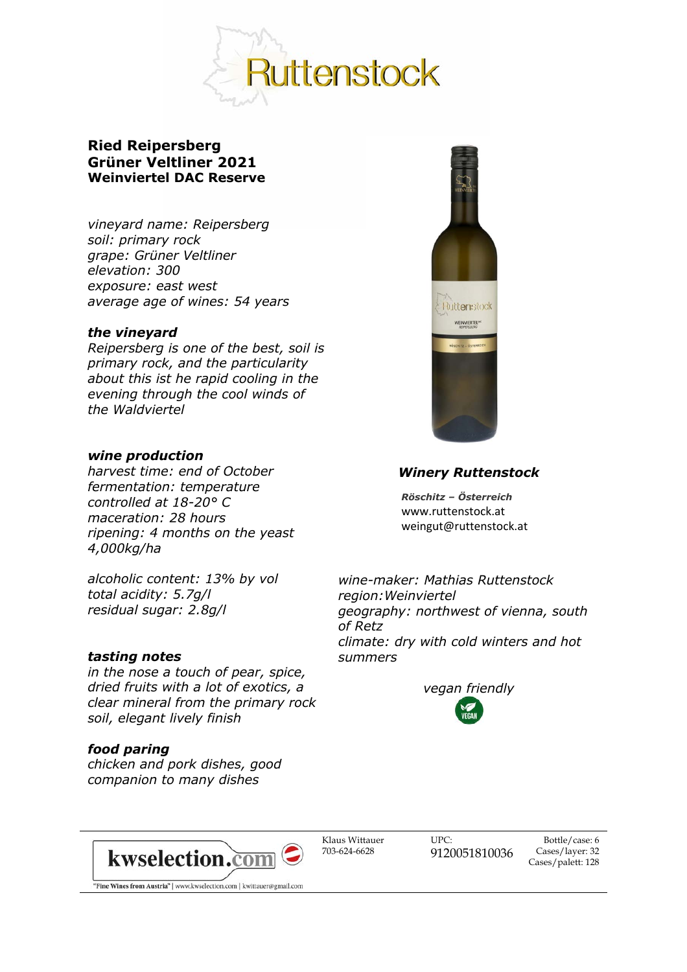

# **Ried Reipersberg Grüner Veltliner 2021 Weinviertel DAC Reserve**

*vineyard name: Reipersberg soil: primary rock grape: Grüner Veltliner elevation: 300 exposure: east west average age of wines: 54 years* 

## *the vineyard*

*Reipersberg is one of the best, soil is primary rock, and the particularity about this ist he rapid cooling in the evening through the cool winds of the Waldviertel*

### *wine production*

*harvest time: end of October fermentation: temperature controlled at 18-20° C maceration: 28 hours ripening: 4 months on the yeast 4,000kg/ha*

*alcoholic content: 13% by vol total acidity: 5.7g/l residual sugar: 2.8g/l*

#### *tasting notes*

*in the nose a touch of pear, spice, dried fruits with a lot of exotics, a clear mineral from the primary rock soil, elegant lively finish*

## *food paring*

*chicken and pork dishes, good companion to many dishes*



## *Winery Ruttenstock*

 *Röschitz – Österreich* www.ruttenstock.at weingut@ruttenstock.at

*wine-maker: Mathias Ruttenstock region:Weinviertel geography: northwest of vienna, south of Retz climate: dry with cold winters and hot summers*





Klaus Wittauer 703-624-6628

UPC: 9120051810036

Bottle/case: 6 Cases/layer: 32 Cases/palett: 128

"Fine Wines from Austria" | www.kwselection.com | kwittauer@gmail.com